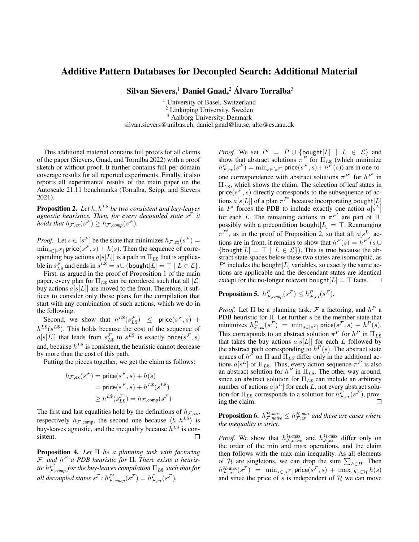## Additive Pattern Databases for Decoupled Search: Additional Material

Silvan Sievers,<sup>1</sup> Daniel Gnad,<sup>2</sup> Álvaro Torralba<sup>3</sup>

<sup>1</sup> University of Basel, Switzerland  $2$  Linköping University, Sweden <sup>3</sup> Aalborg University, Denmark silvan.sievers@unibas.ch, daniel.gnad@liu.se, alto@cs.aau.dk

This additional material contains full proofs for all claims of the paper (Sievers, Gnad, and Torralba 2022) with a proof sketch or without proof. It further contains full per-domain coverage results for all reported experiments. Finally, it also reports all experimental results of the main paper on the Autoscale 21.11 benchmarks (Torralba, Seipp, and Sievers 2021).

Proposition 2. *Let*  $h, h^{L\$}$  *be two consistent and buy-leaves agnostic heuristics. Then, for every decoupled state* s <sup>F</sup> *it holds that*  $h_{\mathcal{F},ex}(s^{\mathcal{F}}) \geq h_{\mathcal{F},comp}(s^{\mathcal{F}})$ *.* 

*Proof.* Let  $s \in [s^{\mathcal{F}}]$  be the state that minimizes  $h_{\mathcal{F},ex}(s^{\mathcal{F}}) =$  $\min_{s \in [s^{\mathcal{F}}]} \text{price}(s^{\mathcal{F}}, s) + h(s)$ . Then the sequence of corresponding buy actions  $a[s[L]]$  is a path in  $\Pi_{L\$}$  that is applicable in  $s_{L\$}^{\mathcal{F}}$  and ends in  $s^{L\$} = s \cup \{\text{bought}[L] = \top \mid L \in \mathcal{L}\}.$ 

First, as argued in the proof of Proposition 1 of the main paper, every plan for  $\Pi_{LS}$  can be reordered such that all  $|\mathcal{L}|$ buy actions  $a[s[L]]$  are moved to the front. Therefore, it suffices to consider only those plans for the compilation that start with any combination of such actions, which we do in the following.

Second, we show that  $h^{L\$}(s_{L\$}^{\mathcal{F}}) \leq \text{price}(s^{\mathcal{F}}, s)$  +  $h^{L\$}(s^{L\$})$ . This holds because the cost of the sequence of  $a[s[L]]$  that leads from  $s_{L\$}^{\mathcal{F}}$  to  $s^{L\$}$  is exactly price $(s^{\mathcal{F}}, s)$ and, because  $h^{L\$}$  is consistent, the heuristic cannot decrease by more than the cost of this path.

Putting the pieces together, we get the claim as follows:

$$
h_{\mathcal{F},ex}(s^{\mathcal{F}}) = \text{price}(s^{\mathcal{F}}, s) + h(s)
$$
  
= price(s^{\mathcal{F}}, s) + h^{L\\$}(s^{L\\$})  

$$
\geq h^{L\$}(s_{L\$}^{\mathcal{F}}) = h_{\mathcal{F},comp}(s^{\mathcal{F}})
$$

The first and last equalities hold by the definitions of  $h_{\mathcal{F},ex}$ , respectively  $h_{\mathcal{F},\text{comp}}$ , the second one because  $\langle h, h^{L\$} \rangle$  is buy-leaves agnostic, and the inequality because  $h^{L\$}$  is consistent.  $\Box$ 

Proposition 4. *Let* Π *be a planning task with factoring* F*, and* h <sup>P</sup> *a PDB heuristic for* Π*. There exists a heuristic*  $h_{\mathcal{F},comp}^{P'}$  *for the buy-leaves compilation*  $\Pi_{L\$}$  *such that for all decoupled states*  $s^{\mathcal{F}}$ *:*  $h^{\mathcal{P}'}_{\mathcal{F},comp}(s^{\mathcal{F}}) = h^{\mathcal{P}}_{\mathcal{F},ex}(s^{\mathcal{F}})$ *.* 

*Proof.* We set  $P' = P \cup \{\text{bought}[L] \mid L \in \mathcal{L}\}\)$  and show that abstract solutions  $\pi^P$  for  $\Pi_{L\$}$  (which minimize  $h_{\mathcal{F},ex}^P(s^{\mathcal{F}}) = \min_{s \in [s^{\mathcal{F}}]} \mathsf{price}(s^{\mathcal{F}}, s) + \bar{h}^P(s)$  are in one-toone correspondence with abstract solutions  $\pi^{P'}$  for  $h^{P'}$  in  $\Pi_{L\$}$ , which shows the claim. The selection of leaf states in price( $s^{\mu}$ , s) directly corresponds to the subsequence of actions  $a[s[L]]$  of a plan  $\pi^{P'}$  because incorporating bought  $[L]$ in P' forces the PDB to include exactly one action  $a[s^L]$ for each L. The remaining actions in  $\pi^{P'}$  are part of  $\Pi$ , possibly with a precondition bought $[L] = \top$ . Rearranging  $\pi^{P'}$ , as in the proof of Proposition 2, so that all  $a[s^L]$  actions are in front, it remains to show that  $h^P(s) = h^{P'}(s \cup$ {bought $[L] = \top | L \in \mathcal{L}$ }. This is true because the abstract state spaces below these two states are isomorphic, as  $P'$  includes the bought [L] variables, so exactly the same actions are applicable and the descendant states are identical except for the no-longer relevant bought $[L] = \top$  facts.  $\Box$ 

**Proposition 5.**  $h_{\mathcal{F},comp}^P(s^{\mathcal{F}}) \leq h_{\mathcal{F},ex}^P(s^{\mathcal{F}})$ .

*Proof.* Let  $\Pi$  be a planning task,  $\mathcal F$  a factoring, and  $h^P$  a PDB heuristic for  $\Pi$ . Let further s be the member state that minimizes  $h^P_{\mathcal{F},ex}(s^{\mathcal{F}}) = \min_{s \in [s^{\mathcal{F}}]} \mathsf{price}(s^{\mathcal{F}}, s) + h^P(s).$ This corresponds to an abstract solution  $\pi^P$  for  $h^P$  in  $\Pi_{LS}$ that takes the buy actions  $a[s[L]]$  for each L followed by the abstract path corresponding to  $h^P(s)$ . The abstract state spaces of  $h^P$  on  $\Pi$  and  $\Pi_{LS}$  differ only in the additional actions  $a[s^L]$  of  $\Pi_{L\$}$ . Thus, every action sequence  $\pi^P$  is also an abstract solution for  $h^P$  in  $\Pi_{L\$  S}. The other way around, since an abstract solution for  $\Pi_{L\$}$  can include an arbitrary number of actions  $a[s^L]$  for each L, not every abstract solution for  $\Pi_{L\$  corresponds to a solution for  $h^P_{\mathcal{F},ex}(s^{\mathcal{F}})$ , proving the claim.  $\Box$ 

**Proposition 6.**  $h_{\mathcal{F},\text{naive}}^{\mathcal{H}-\text{max}} \leq h_{\mathcal{F},ex}^{\mathcal{H}-\text{max}}$  and there are cases where *the inequality is strict.*

*Proof.* We show that  $h_{\mathcal{F},\text{naive}}^{\mathcal{H}-\text{max}}$  and  $h_{\mathcal{F},\text{ex}}^{\mathcal{H}-\text{max}}$  differ only on the order of the min and max operations, and the claim then follows with the max-min inequality. As all elements of H are singletons, we can drop the sum  $\sum_{h \in H}$ . Then  $h^{\mathcal{H}\text{-max}}_{\mathcal{F},\text{ex}}(s^{\mathcal{F}}) = \min_{s\in[s^{\mathcal{F}}]}\text{price}(s^{\mathcal{F}},s) + \max_{s\in[t^{\mathcal{H}}}h(s)$ and since the price of s is independent of  $H$  we can move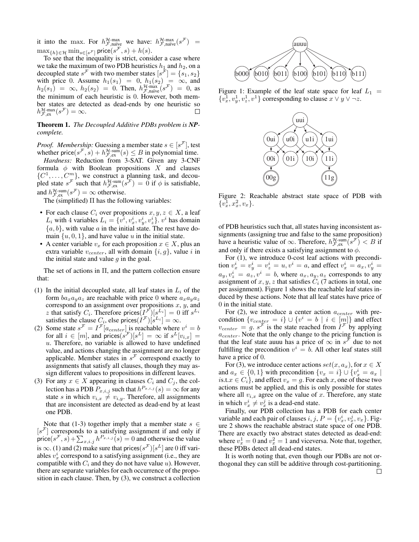it into the max. For  $h_{\mathcal{F},\text{naive}}^{\mathcal{H}-\text{max}}$  we have:  $h_{\mathcal{F},\text{naive}}^{\mathcal{H}-\text{max}}(s^{\mathcal{F}}) =$  $\max_{\{h\} \in \mathcal{H}} \min_{s \in [s^{\mathcal{F}}]} \mathsf{price}(s^{\mathcal{F}}, s) + h(s).$ 

To see that the inequality is strict, consider a case where we take the maximum of two PDB heuristics  $h_1$  and  $h_2$ , on a decoupled state  $s^{\mathcal{F}}$  with two member states  $[s^{\mathcal{F}}] = \{s_1, s_2\}$ with price 0. Assume  $h_1(s_1) = 0$ ,  $h_1(s_2) = \infty$ , and  $h_2(s_1) = \infty$ ,  $h_2(s_2) = 0$ . Then,  $h_{\mathcal{F},\text{naive}}^{\mathcal{H}\text{-max}}(s^{\mathcal{F}}) = 0$ , as the minimum of each heuristic is 0. However, both member states are detected as dead-ends by one heuristic so  $h_{\mathcal{F},\text{ex}}^{\mathcal{H}\text{-}\max}(s^{\mathcal{F}})=\infty.$ 

## Theorem 1. *The Decoupled Additive PDBs problem is NPcomplete.*

*Proof. Membership:* Guessing a member state  $s \in [s^{\mathcal{F}}]$ , test whether price( $s^{\mathcal{F}}, s$ ) +  $h^{\mathcal{H}\text{-sum}}_{\mathcal{F},ex}(s) \leq B$  in polynomial time.

*Hardness:* Reduction from 3-SAT. Given any 3-CNF formula  $\phi$  with Boolean propositions X and clauses  $\{C^1, \ldots, C^m\}$ , we construct a planning task, and decoupled state  $s^{\mathcal{F}}$  such that  $h^{\mathcal{H}\text{-sum}}_{\mathcal{F},\text{ex}}(s^{\mathcal{F}}) = 0$  if  $\phi$  is satisfiable, and  $h_{\mathcal{F},ex}^{\mathcal{H}\text{-sum}}(s^{\mathcal{F}}) = \infty$  otherwise.

The (simplified)  $\Pi$  has the following variables:

- For each clause  $C_i$  over propositions  $x, y, z \in X$ , a leaf  $L_i$  with 4 variables  $L_i = \{v^i, v_x^i, v_y^i, v_z^i\}$ .  $v^i$  has domain  $\{a, b\}$ , with value a in the initial state. The rest have domain  $\{u, 0, 1\}$ , and have value u in the initial state.
- A center variable  $v_x$  for each proposition  $x \in X$ , plus an extra variable  $v_{center}$ , all with domain  $\{i, g\}$ , value i in the initial state and value  $q$  in the goal.

The set of actions in Π, and the pattern collection ensure that:

- (1) In the initial decoupled state, all leaf states in  $L_i$  of the form  $ba_xa_ya_z$  are reachable with price 0 where  $a_xa_ya_z$ correspond to an assignment over propositions  $x, y$ , and z that satisfy  $C_i$ . Therefore prices  $(I^{\mathcal{F}})[s^{L_i}] = 0$  iff  $s^{L_i}$ satisfies the clause  $C_i$ , else prices $(I^{\mathcal{F}})[s^{L_i}] = \infty$ .
- (2) Some state  $s^{\mathcal{F}} = I^{\mathcal{F}}[a_{center}]$  is reachable where  $v^i = b$ for all  $i \in [m]$ , and prices $(s^{\mathcal{F}})[s^L] = \infty$  if  $s^L[v_{i,x}] =$  $u$ . Therefore, no variable is allowed to have undefined value, and actions changing the assignment are no longer applicable. Member states in  $s^{\mathcal{F}}$  correspond exactly to assignments that satisfy all clauses, though they may assign different values to propositions in different leaves.
- (3) For any  $x \in X$  appearing in clauses  $C_i$  and  $C_j$ , the collection has a PDB  $P_{x,i,j}$  such that  $h^{P_{x,i,j}}(s) = \infty$  for any state s in which  $v_{i,x} \neq v_{i,y}$ . Therefore, all assignments that are inconsistent are detected as dead-end by at least one PDB.

Note that (1-3) together imply that a member state  $s \in$  $[s<sup>\mathcal{F}]</sup>$  corresponds to a satisfying assignment if and only if price $(s^{\mathcal{F}}, s) + \sum_{x,i,j} h^{P_{x,i,j}}(s) = 0$  and otherwise the value is  $\infty$ . (1) and (2) make sure that prices $(s^{\mathcal{F}})[s^L]$  are 0 iff variables  $v_x^i$  correspond to a satisfying assignment (i.e., they are compatible with  $C_i$  and they do not have value u). However, there are separate variables for each occurrence of the proposition in each clause. Then, by (3), we construct a collection



Figure 1: Example of the leaf state space for leaf  $L_1$  =  $\{v_x^1, v_y^1, v_z^1, v^1\}$  corresponding to clause  $x \vee y \vee \neg z$ .



Figure 2: Reachable abstract state space of PDB with  $\{\overline{v_x^1}, \overline{x_x^2}, \overline{v_x}\}.$ 

of PDB heuristics such that, all states having inconsistent assignments (assigning true and false to the same proposition) have a heuristic value of  $\infty$ . Therefore,  $h^{\mathcal{H}\text{-sum}}_{\mathcal{F},\text{ex}}(s^{\mathcal{F}}) < B$  if and only if there exists a satisfying assignment to  $\phi$ .

For (1), we introduce 0-cost leaf actions with precondition  $v_x^i = v_y^i = v_z^i = u, v^i = a$ , and effect  $v_x^i = a_x, v_y^i = a$  $a_y, v_z^i = a_z, v^i = b$ , where  $a_x, a_y, a_z$  corresponds to any assignment of  $x, y, z$  that satisfies  $C_i$  (7 actions in total, one per assignment). Figure 1 shows the reachable leaf states induced by these actions. Note that all leaf states have price of 0 in the initial state.

For (2), we introduce a center action  $a_{center}$  with precondition  $\{v_{center} = i\} \cup \{v^i = b \mid i \in [m]\}$  and effect  $v_{center} = g. s<sup>\mathcal{F}</sup>$  is the state reached from  $I<sup>\mathcal{F}</sup>$  by applying  $a_{center}$ . Note that the only change to the pricing function is that the leaf state auuu has a price of  $\infty$  in  $s^{\mathcal{F}}$  due to not fulfilling the precondition  $v^i = b$ . All other leaf states still have a price of 0.

For (3), we introduce center actions  $set(x, a_x)$ , for  $x \in X$ and  $a_x \in \{0, 1\}$  with precondition  $\{v_x = i\} \cup \{v_x^i = a_x \mid$ is.t. $x \in C_i$ , and effect  $v_x = g$ . For each x, one of these two actions must be applied, and this is only possible for states where all  $v_{i,x}$  agree on the value of x. Therefore, any state in which  $v_x^i \neq v_x^j$  is a dead-end state.

Finally, our PDB collection has a PDB for each center variable and each pair of clauses  $i, j, P = \{v_x^i, v_x^j, v_x\}$ . Figure 2 shows the reachable abstract state space of one PDB. There are exactly two abstract states detected as dead-end: where  $v_x^1 = 0$  and  $v_x^2 = 1$  and viceversa. Note that, together, these PDBs detect all dead-end states.

It is worth noting that, even though our PDBs are not orthogonal they can still be additive through cost-partitioning.П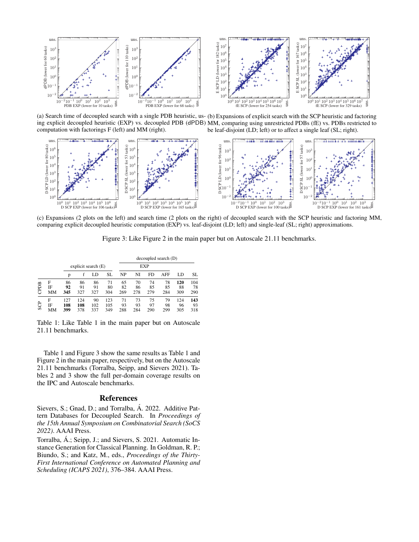

(a) Search time of decoupled search with a single PDB heuristic, us-(b) Expansions of explicit search with the SCP heuristic and factoring ing explicit decoupled heuristic (EXP) vs. decoupled PDB (dPDB) MM, comparing using unrestricted PDBs (fE) vs. PDBs restricted to computation with factorings F (left) and MM (right). be leaf-disjoint (LD; left) or to affect a single leaf (SL; right).



(c) Expansions (2 plots on the left) and search time (2 plots on the right) of decoupled search with the SCP heuristic and factoring MM, comparing explicit decoupled heuristic computation (EXP) vs. leaf-disjoint (LD; left) and single-leaf (SL; right) approximations.

Figure 3: Like Figure 2 in the main paper but on Autoscale 21.11 benchmarks.

|      |               |                   |                     |                  |                   | decoupled search (D) |                 |                 |                 |                  |                  |  |  |  |  |  |  |  |
|------|---------------|-------------------|---------------------|------------------|-------------------|----------------------|-----------------|-----------------|-----------------|------------------|------------------|--|--|--|--|--|--|--|
|      |               |                   | explicit search (E) |                  |                   |                      | EXP             |                 |                 |                  |                  |  |  |  |  |  |  |  |
|      |               | p                 |                     | LD               | SL                | NP                   | NI              | FD.             | <b>AFF</b>      | LD               | SL               |  |  |  |  |  |  |  |
| CPDB | F<br>ΙF<br>MМ | 86<br>92<br>345   | 86<br>91<br>327     | 86<br>91<br>327  | 71<br>80<br>304   | 65<br>82<br>269      | 70<br>86<br>278 | 74<br>85<br>279 | 78<br>85<br>284 | 120<br>88<br>309 | 104<br>78<br>290 |  |  |  |  |  |  |  |
| \$CP | F<br>ΙF<br>MМ | 127<br>108<br>399 | 124<br>108<br>378   | 90<br>102<br>337 | 123<br>105<br>349 | 71<br>93<br>288      | 73<br>93<br>284 | 75<br>97<br>290 | 79<br>98<br>299 | 124<br>96<br>305 | 143<br>93<br>318 |  |  |  |  |  |  |  |

Table 1: Like Table 1 in the main paper but on Autoscale 21.11 benchmarks.

Table 1 and Figure 3 show the same results as Table 1 and Figure 2 in the main paper, respectively, but on the Autoscale 21.11 benchmarks (Torralba, Seipp, and Sievers 2021). Tables 2 and 3 show the full per-domain coverage results on the IPC and Autoscale benchmarks.

## References

Sievers, S.; Gnad, D.; and Torralba, Á. 2022. Additive Pattern Databases for Decoupled Search. In *Proceedings of the 15th Annual Symposium on Combinatorial Search (SoCS 2022)*. AAAI Press.

Torralba, Á.; Seipp, J.; and Sievers, S. 2021. Automatic Instance Generation for Classical Planning. In Goldman, R. P.; Biundo, S.; and Katz, M., eds., *Proceedings of the Thirty-First International Conference on Automated Planning and Scheduling (ICAPS 2021)*, 376–384. AAAI Press.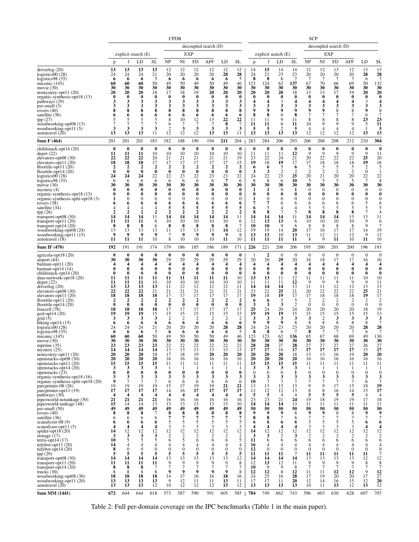|                                                      |                               | <b>CPDB</b><br>decoupled search (D) |                               |                              |                                     |                               |                               |                               |                              |                               |                               | <b>SCP</b>                    |                                             |                               |                                    |                                    |                                             |                       |                                    |                              |  |  |
|------------------------------------------------------|-------------------------------|-------------------------------------|-------------------------------|------------------------------|-------------------------------------|-------------------------------|-------------------------------|-------------------------------|------------------------------|-------------------------------|-------------------------------|-------------------------------|---------------------------------------------|-------------------------------|------------------------------------|------------------------------------|---------------------------------------------|-----------------------|------------------------------------|------------------------------|--|--|
|                                                      |                               |                                     |                               |                              |                                     |                               |                               |                               |                              |                               |                               | decoupled search (D)          |                                             |                               |                                    |                                    |                                             |                       |                                    |                              |  |  |
|                                                      |                               |                                     | explicit search (E)           |                              | <b>EXP</b>                          |                               |                               |                               |                              |                               |                               |                               | explicit search (E)                         |                               | EXP                                |                                    |                                             |                       |                                    |                              |  |  |
|                                                      | p                             | f                                   | LD                            | <b>SL</b>                    | <b>NP</b>                           | NI                            | FD                            | AFF                           | LD                           | SL                            | p                             | f                             | LD                                          | <b>SL</b>                     | <b>NP</b>                          | NI                                 | <b>FD</b>                                   | AFF                   | LD                                 | SL                           |  |  |
| driverlog $(20)$                                     | 13                            | 13                                  | 13                            | 13                           | 12                                  | 12                            | 12                            | 12                            | 12                           | 12                            | 14                            | 15                            | 14                                          | 14                            | 12                                 | 12                                 | 13                                          | 12                    | 13                                 | 13                           |  |  |
| logistics $00(28)$                                   | 24                            | 24                                  | 24                            | 21                           | 20                                  | 20                            | 20                            | 20                            | 28                           | 28                            | 24                            | 23                            | 23                                          | 23                            | 20                                 | 20                                 | 20                                          | 20                    | 28                                 | 28                           |  |  |
| logistics $98(35)$<br>miconic $(145)$                | 6<br>60                       | 6<br>60                             | 6<br>60                       | 5<br>50                      | 6<br>49                             | 6<br>50                       | 6<br>49                       | 6<br>50                       | 6<br>49                      | 5<br>46                       | 8<br>123                      | 8<br>124                      | 6<br>62                                     | $\overline{7}$<br>137         | 7<br>67                            | 7<br>70                            | 7<br>66                                     | 7<br>69               | 6<br>50                            | $\overline{7}$<br>132        |  |  |
| movie $(30)$                                         | 30                            | 30                                  | 30                            | 30                           | 30                                  | 30                            | 30                            | 30                            | 30                           | 30                            | 30                            | 30                            | 30                                          | 30                            | 30                                 | 30                                 | 30                                          | 30                    | 30                                 | 30                           |  |  |
| nomystery-opt11 (20)<br>organic-synthesis-opt18 (13) | 20<br>0                       | 20<br>$\bf{0}$                      | 20<br>$\bf{0}$                | 18<br>$\bf{0}$               | 17<br>$\bf{0}$                      | 18<br>$\bf{0}$                | 19<br>$\bf{0}$                | 20<br>$\bf{0}$                | 20<br>$\bf{0}$               | 20<br>$\bf{0}$                | 20<br>$\bf{0}$                | 20<br>$\bf{0}$                | 20<br>$\bf{0}$                              | 18<br>$\bf{0}$                | 13<br>$\bf{0}$                     | 13<br>$\bf{0}$                     | 17<br>$\bf{0}$                              | 19<br>$\bf{0}$        | 20<br>$\bf{0}$                     | 20<br>$\boldsymbol{0}$       |  |  |
| pathways (29)                                        | 3                             | 3                                   | 3                             | 3                            | 3                                   | 3                             | 3                             | 3                             | 3                            | 3                             | 4                             | $\overline{\mathbf{4}}$       | 3                                           | $\overline{\mathbf{4}}$       | $\overline{\mathbf{4}}$            | $\overline{\mathbf{4}}$            | $\overline{\mathbf{4}}$                     | 4                     | 3                                  | 4                            |  |  |
| psr-small (3)<br>rovers $(40)$                       | 3<br>8                        | 3<br>8                              | 3<br>8                        | 3<br>8                       | 3<br>8                              | 3<br>8                        | 3<br>8                        | 3<br>8                        | 3<br>8                       | 3<br>8                        | 3<br>$\boldsymbol{9}$         | 3<br>9                        | 3<br>9                                      | 3<br>9                        | 3<br>9                             | 3<br>9                             | 3<br>8                                      | 3<br>8                | 3<br>9                             | 3<br>8                       |  |  |
| satellite (36)                                       | 6                             | 6                                   | 6                             | 6                            | 6                                   | 6                             | 6                             | 6                             | 6                            | 6                             | 8                             | 8                             | 6                                           | 8                             | 7                                  | 7                                  |                                             | 7                     | 6                                  | 7                            |  |  |
| tpp(27)<br>woodworking-opt08 (13)                    |                               | 5<br>7                              | 5<br>7                        | 5<br>7                       | 8<br>6                              | 10<br>7                       | 12<br>7                       | 13<br>7                       | 22<br>8                      | 22<br>$\overline{7}$          | 11<br>11                      | 11<br>11                      | 9<br>6                                      | 11<br>11                      | 8<br>10                            | 8<br>9                             | 8<br>9                                      | 8<br>9                | 23<br>5                            | 23<br>11                     |  |  |
| woodworking-opt11 (5)                                | 3                             | 3                                   | 3                             | 3                            | $\overline{2}$                      | 3                             | 3                             | 3                             | 3                            | 3                             | 5                             | 5                             | $\overline{2}$                              | 5                             | 4                                  | $\overline{4}$                     | $\overline{4}$                              | $\overline{4}$        | $\mathbf{1}$                       | 5                            |  |  |
| zenotravel $(20)$                                    | 13                            | 13                                  | 13                            | 11                           | 12                                  | 12                            | 12                            | 13                            | 13                           | 11                            | 13                            | 13                            | 13                                          | 13                            | 12                                 | 12                                 | 12                                          | 12                    | 13                                 | 13                           |  |  |
| Sum F (464)                                          | 201                           | 201                                 | 201                           | 183                          | 182                                 | 188                           | 190                           | 194                           | 211                          | 204                           | 283                           | 284                           | 206                                         | 293                           | 206                                | 208                                | 208                                         | 212                   | 210                                | 304<br>$\bf{0}$              |  |  |
| childsnack-opt14 (20)<br>depot(22)                   | $\bf{0}$<br>11                | $\bf{0}$<br>11                      | $\bf{0}$<br>11                | $\bf{0}$<br>10               | $\bf{0}$<br>10                      | $\bf{0}$<br>10                | $\bf{0}$<br>10                | $\bf{0}$<br>10                | $\bf{0}$<br>10               | $\bf{0}$<br>10                | $\bf{0}$<br>11                | $\bf{0}$<br>11                | $\bf{0}$<br>11                              | $\bf{0}$<br>12                | $\bf{0}$<br>9                      | $\bf{0}$<br>9                      | $\bf{0}$<br>9                               | $\bf{0}$<br>9         | $\bf{0}$<br>9                      | 11                           |  |  |
| elevators-opt08 (30)                                 | 22<br>18                      | 22<br>18                            | 22<br>18                      | 20<br>17                     | 21<br>17                            | 21<br>17                      | 21<br>17                      | 21<br>17                      | 21<br>17                     | 19<br>15                      | 23<br>19                      | 22<br>18                      | 24<br>19                                    | 21<br>17                      | 20<br>17                           | 22<br>18                           | 22<br>18                                    | 22<br>18              | 25<br>19                           | 20<br>16                     |  |  |
| elevators-opt11 $(20)$<br>floortile-opt $11(20)$     | $\mathbf{2}$                  | $\overline{\mathbf{c}}$             | $\overline{\mathbf{c}}$       | $\overline{2}$               | $\overline{2}$                      | $\overline{2}$                | $\overline{2}$                | $\overline{\mathbf{2}}$       | $\overline{\mathbf{2}}$      | $\overline{2}$                | 6                             | 6                             | 5                                           | 6                             | 5                                  | 5                                  | 5                                           | 5                     | 2                                  | 5                            |  |  |
| floortile-opt $14(20)$                               | $\bf{0}$                      | $\bf{0}$                            | $\bf{0}$                      | $\bf{0}$                     | $\bf{0}$                            | $\bf{0}$                      | $\bf{0}$                      | $\bf{0}$                      | $\bf{0}$                     | $\bf{0}$                      | 3                             | 3                             | $\overline{2}$<br>$2\overline{3}$           | $\overline{2}$<br>25          | $\overline{2}$                     | $\overline{2}$                     | $\overline{2}$                              | $\overline{2}$        | $\boldsymbol{0}$                   | 1                            |  |  |
| logistics00 (28)<br>logistics $98(35)$               | 24<br>6                       | 24<br>6                             | 24<br>6                       | 22<br>6                      | 22<br>6                             | 23<br>6                       | 22<br>6                       | 23<br>6                       | $\frac{23}{7}$               | 22<br>6                       | 24<br>8                       | $\frac{22}{8}$                | 6                                           | 10                            | 20<br>5                            | 21<br>5                            | 20<br>5                                     | 20<br>5               | 22<br>7                            | 22<br>8                      |  |  |
| movie $(30)$                                         | 30                            | 30                                  | 30                            | 30                           | 30                                  | 30                            | 30                            | 30                            | 30                           | 30                            | 30                            | 30                            | 30                                          | 30                            | 30                                 | 30                                 | 30                                          | 30                    | 30                                 | 30                           |  |  |
| mystery $(4)$<br>organic-synthesis-opt18 (13)        | 0<br>0                        | 0<br>0                              | $\bf{0}$<br>0                 | $\bf{0}$<br>$\bf{0}$         | $\bf{0}$<br>$\bf{0}$                | $\bf{0}$<br>$\bf{0}$          | $\bf{0}$<br>$\bf{0}$          | $\bf{0}$<br>$\bf{0}$          | $\bf{0}$<br>$\bf{0}$         | $\bf{0}$<br>$\bf{0}$          | 1<br>$\bf{0}$                 | 1<br>$\bf{0}$                 | $\boldsymbol{0}$<br>$\bf{0}$                | 1<br>$\bf{0}$                 | $\theta$<br>$\bf{0}$               | $\theta$<br>$\bf{0}$               | $\theta$<br>$\bf{0}$                        | $\mathbf{0}$<br>0     | $\mathbf{0}$<br>0                  | $\theta$<br>$\boldsymbol{0}$ |  |  |
| organic-synthesis-split-opt18 (3)                    | 1                             | $\mathbf{0}$                        | $\mathbf{0}$                  | $\mathbf{0}$                 | $\mathbf{0}$                        | $\mathbf{0}$                  | $\mathbf{0}$                  | $\mathbf{0}$                  | $\boldsymbol{0}$             | $\mathbf{0}$                  | 1                             | $\theta$                      | $\theta$                                    | $\theta$                      | $\boldsymbol{0}$                   | $\theta$                           | $\theta$                                    | $\mathbf{0}$          | $\mathbf{0}$                       | 0                            |  |  |
| rovers $(38)$<br>satellite (34)                      |                               | 6<br>4                              | 6<br>$\overline{4}$           | 6<br>$\overline{4}$          | 6<br>5                              | 6<br>5                        | 6<br>5                        | 6<br>5                        | 6<br>5                       | 6<br>5                        | 7<br>6                        | 7<br>5                        | 6<br>4                                      | 6<br>$\overline{4}$           | 6<br>5                             | 6<br>5                             | 6<br>5                                      | 6<br>5                | 5<br>5                             | 6<br>5                       |  |  |
| tpp(26)                                              | $\mathbf{2}$                  | $\overline{\mathbf{2}}$             | $\overline{2}$                | $\overline{2}$               | $\overline{2}$                      | $\overline{2}$                | $\overline{2}$                | $\overline{2}$                | $\overline{2}$               | $\boldsymbol{2}$              | 8                             | 8                             | $\overline{7}$                              | 5                             | 8                                  | 8                                  | 8                                           | 8                     | 7                                  | $\overline{4}$               |  |  |
| transport-opt $08(30)$<br>transport-opt $11(20)$     | 14<br>11                      | 14<br>11                            | 14<br>11                      | 11<br>6                      | 14<br>10                            | 14<br>10                      | 14<br>10                      | 14<br>10                      | 14<br>10                     | 11<br>6                       | 14<br>12                      | 14<br>13                      | 14<br>13                                    | 11<br>6                       | 14<br>10                           | 14<br>10                           | 14<br>10                                    | 13<br>10              | 13<br>9                            | 11<br>6                      |  |  |
| transport-opt $14(20)$                               | 8                             | 8                                   | 8                             | 6                            | 8                                   | 8                             | 8                             | 8                             | 8                            | 7                             | 10                            | 10                            | 9                                           | 6                             | 8                                  | 8                                  | 8                                           | 8                     | 9                                  | 7                            |  |  |
| woodworking-opt08 (24)<br>woodworking-opt11 (15)     | 13<br>9                       | 13<br>9                             | 13<br>9                       | 13<br>9                      | 11<br>7                             | 13<br>9                       | 13<br>9                       | 13<br>9                       | 14<br>9                      | 12<br>8                       | 19<br>13                      | 19<br>13                      | 14<br>10                                    | 20<br>13                      | 17<br>11                           | 16<br>12                           | 17<br>11                                    | 17<br>12              | 14<br>9                            | 19<br>12                     |  |  |
| zenotravel (18)                                      | 11                            | 11                                  | 11                            | 10                           | 8                                   | 10                            | 10                            | 10                            | 11                           | 10                            | 11                            | 11                            | 11                                          | 11                            | 8                                  | 9                                  | 11                                          | 10                    | 11                                 | 10                           |  |  |
| <b>Sum IF (470)</b>                                  | 192                           | 191                                 | 191                           | 174                          | 179                                 | 186                           | 185                           | 186                           | 189                          | 171                           | 226                           | 221                           | 208                                         | 206                           | 195                                | 200                                | 201                                         | 200                   | 196                                | 193                          |  |  |
| agricola-opt18 (20)                                  | 0                             | $\bf{0}$                            | $\bf{0}$                      | $\bf{0}$                     | $\bf{0}$                            | $\bf{0}$                      | $\bf{0}$                      | $\bf{0}$                      | $\bf{0}$                     | $\bf{0}$                      | -1                            | $\overline{2}$                | $\theta$                                    | $\theta$                      | $\mathbf{0}$                       | $\mathbf{0}$                       | $\mathbf{0}$                                | $\mathbf{0}$          | $\mathbf{0}$                       | $\overline{0}$               |  |  |
| airport $(44)$<br>barman-opt $11(20)$                | 30<br>4                       | 30<br>4                             | 30<br>$\overline{\mathbf{4}}$ | 30<br>4                      | 29<br>$\overline{\mathbf{4}}$       | 29<br>$\overline{\mathbf{4}}$ | 29<br>$\overline{\mathbf{4}}$ | 29<br>$\overline{\mathbf{4}}$ | 29<br>$\overline{4}$         | 29<br>$\overline{\mathbf{4}}$ | 20<br>$\overline{\mathbf{4}}$ | 20<br>$\overline{\mathbf{4}}$ | 29<br>$\overline{4}$                        | 20<br>$\overline{\mathbf{4}}$ | 18<br>$\overline{\mathbf{4}}$      | 18<br>4                            | 17<br>4                                     | 17<br>4               | 16<br>4                            | 16<br>4                      |  |  |
| barman-opt $14(14)$                                  | 0                             | $\bf{0}$                            | $\bf{0}$                      | $\bf{0}$                     | $\bf{0}$                            | $\bf{0}$                      | $\bf{0}$                      | $\bf{0}$                      | $\bf{0}$                     | $\bf{0}$                      | $\bf{0}$                      | $\bf{0}$                      | $\bf{0}$                                    | $\bf{0}$                      | $\bf{0}$                           | $\bf{0}$                           | $\bf{0}$                                    | $\bf{0}$              | $\bf{0}$                           | $\boldsymbol{0}$             |  |  |
| childsnack-opt14 (20)<br>data-network-opt18 (20)     | 0<br>11                       | $\bf{0}$<br>11                      | $\bf{0}$<br>11                | $\bf{0}$<br>11               | $\bf{0}$<br>11                      | $\bf{0}$<br>11                | $\bf{0}$<br>11                | $\bf{0}$<br>11                | $\bf{0}$<br>11               | $\bf{0}$<br>10                | $\bf{0}$<br>13                | $\bf{0}$<br>13                | $\bf{0}$<br>11                              | $\bf{0}$<br>12                | $\bf{0}$<br>11                     | $\bf{0}$<br>11                     | $\bf{0}$<br>11                              | $\bf{0}$<br>11        | $\bf{0}$<br>10                     | $\boldsymbol{0}$<br>10       |  |  |
| depot(22)                                            | 11                            | 11                                  | 11                            | 10                           | 10                                  | 10                            | 10                            | 10                            | 10                           | 10                            | 11                            | 11                            | 11                                          | 12                            | 9                                  | 9                                  | 9                                           | 9                     | 9                                  | 11                           |  |  |
| driverlog $(20)$<br>elevators-opt08 (30)             | 13<br>22                      | 13<br>22                            | 13<br>22                      | 13<br>21                     | 11<br>21                            | 12<br>21                      | 12<br>21                      | 12<br>21                      | 12<br>21                     | 11<br>21                      | 14<br>23                      | 14<br>22                      | 14<br>25                                    | 13<br>21                      | 11<br>20                           | 11<br>22                           | $\frac{12}{22}$                             | 12<br>22              | 13<br>25                           | 13<br>21                     |  |  |
| elevators-opt $11(20)$                               | 18                            | 18                                  | 18                            | 18                           | 17                                  | 17                            | 17                            | 17                            | 17                           | 17                            | 19                            | 18                            | 19                                          | 17                            | 17                                 | 18                                 | $\begin{smallmatrix}18\12\end{smallmatrix}$ | 18                    | 19                                 | 17                           |  |  |
| floortile-opt $11(20)$<br>floortile-opt $14(20)$     | $\mathbf{2}$<br>0             | $\overline{2}$<br>$\bf{0}$          | $\overline{2}$<br>$\bf{0}$    | $\boldsymbol{2}$<br>$\bf{0}$ | $\overline{\mathbf{c}}$<br>$\bf{0}$ | $\boldsymbol{2}$<br>$\bf{0}$  | $\boldsymbol{2}$<br>$\bf{0}$  | $\boldsymbol{2}$<br>$\bf{0}$  | $\boldsymbol{2}$<br>$\bf{0}$ | $\overline{2}$<br>$\bf{0}$    | 6<br>3                        | 6<br>3                        | 5<br>3                                      | 5<br>$\overline{2}$           | $\overline{2}$<br>$\boldsymbol{0}$ | $\overline{2}$<br>$\boldsymbol{0}$ | $\mathbf{0}$                                | 2<br>$\boldsymbol{0}$ | $\overline{2}$<br>$\boldsymbol{0}$ | 2<br>$\boldsymbol{0}$        |  |  |
| freecell (78)                                        | 18                            | 18                                  | 18                            | 18                           | 17                                  | 17                            | 17                            | 17                            | 17                           | 17                            | $\frac{25}{19}$               | 24                            | 20                                          | 24                            | $\frac{20}{15}$                    | 20                                 | $\frac{20}{15}$                             | 20                    | 18                                 | 19                           |  |  |
| $ged-opt14(20)$<br>grid(5)                           | 19<br>3                       | 19<br>3                             | 19<br>3                       | 15<br>3                      | 15<br>$\overline{c}$                | 15<br>$\overline{c}$          | 15<br>2                       | 15<br>$\overline{2}$          | 15<br>$\overline{c}$         | 13<br>$\overline{c}$          | 3                             | 19<br>3                       | 19<br>3                                     | 15<br>3                       | 3                                  | 15<br>$\overline{2}$               | 3                                           | 15<br>3               | 15<br>3                            | 13<br>3                      |  |  |
| hiking-opt $14(15)$                                  | 6                             | 6                                   | 6                             | 6                            | 6                                   | 6                             | 6                             | 6                             | 6                            | 6                             | $\boldsymbol{9}$              | 9                             | 9                                           | 8                             | 8                                  | 8                                  | 8                                           | 8                     | $\overline{8}$                     | $\overline{7}$               |  |  |
| logistics $00(28)$                                   | 24                            | 24<br>6                             | 24<br>6                       | 21<br>5                      | 20<br>6                             | 20<br>6                       | 20<br>6                       | 20<br>6                       | 28<br>6                      | 28<br>5                       | 24<br>8                       | 24<br>8                       | 23<br>6                                     | 23<br>$\overline{7}$          | 20<br>8                            | 20<br>$\overline{7}$               | 20<br>$\overline{7}$                        | 20<br>$7\phantom{.0}$ | 28<br>6                            | 28<br>7                      |  |  |
| logistics98(35)<br>miconic $(145)$                   | 6<br>60                       | 60                                  | 60                            | 50                           | 49                                  | 50                            | 50                            | 50                            | 49                           | 46                            | 123                           | 123                           | 62                                          | 136                           | 65                                 | 67                                 | 68                                          | 69                    | 49                                 | 130                          |  |  |
| movie $(30)$                                         | 30                            | 30                                  | 30                            | 30                           | 30                                  | 30                            | 30                            | 30                            | 30                           | 30                            | 30                            | 30                            | 30                                          | 30                            | 30                                 | 30                                 | 30                                          | 30                    | 30                                 | 30                           |  |  |
| mprime $(35)$<br>mystery $(25)$                      | 23<br>14                      | 23<br>14                            | 23<br>14                      | 23<br>14                     | 22<br>13                            | 22<br>13                      | 22<br>13                      | 22<br>13                      | 22<br>13                     | 22<br>13                      | 28<br>17                      | 28<br>17                      | 27<br>16                                    | 28<br>17                      | 27<br>17                           | 27<br>17                           | 27<br>17                                    | 27<br>17              | 26<br>15                           | 27<br>17                     |  |  |
| nomystery-opt $11(20)$                               | 20<br>20                      | $\frac{20}{20}$                     | $\frac{20}{20}$               | 18<br>20                     | 17<br>16                            | 18                            | 19<br>16                      | 20<br>16                      | 20<br>16                     | 20<br>16                      | 20<br>20                      | 20<br>20                      | 20<br>20                                    | 18<br>20                      | 13<br>16                           | 13<br>16                           | 16                                          | 19<br>16              | 20<br>16                           | 20<br>16                     |  |  |
| openstacks-opt08 (30)<br>openstacks-opt11 (20)       | 15                            | 15                                  | 15                            | 15                           | 11                                  | 16<br>11                      | 11                            | 11                            | 11                           | 11                            | 15                            | 15                            | 15                                          | 15                            | 11                                 | 11                                 | 16<br>11                                    | 11                    | 11                                 | 11                           |  |  |
| openstacks-opt14 (20)                                | 3<br>$\bf{0}$                 | 3<br>$\bf{0}$                       | 3<br>$\bf{0}$                 | 3<br>$\bf{0}$                | -1<br>$\bf{0}$                      | -1<br>$\bf{0}$                | -1<br>$\bf{0}$                | -1                            | -1<br>$\bf{0}$               | -1                            | 3<br>$\mathbf{0}$             | 3<br>$\boldsymbol{0}$         | 3<br>$\boldsymbol{0}$                       | 3                             | -1                                 | -1<br>$\boldsymbol{0}$             | -1                                          | -1                    | -1                                 | -1                           |  |  |
| openstacks (23)<br>organic-synthesis-opt18 (16)      | 3                             | 3                                   | 3                             | 3                            | 3                                   | 3                             | 3                             | $\bf{0}$<br>3                 | 3                            | $\bf{0}$<br>3                 | 3                             | 3                             | 3                                           | 1<br>3                        | $\boldsymbol{0}$<br>3              | 3                                  | $\boldsymbol{0}$<br>3                       | $\bf{0}$<br>3         | $\bf{0}$<br>3                      | $\boldsymbol{0}$<br>3        |  |  |
| organic-synthesis-split-opt18 (20)                   | 9<br>19                       | 7<br>19                             | $\overline{7}$                | $\overline{7}$               | 6                                   | 6                             | 6                             | 6                             | 6                            | 6                             | 10                            | $\overline{7}$                | $\overline{7}$                              | $\overline{7}$                | $\overline{7}$<br>9                | $\overline{7}$<br>9                | $\overline{7}$                              | $\tau$                | 6                                  | 19                           |  |  |
| parcprinter-08 (26)<br>parcprinter-opt11 (19)        | 17                            | 17                                  | 19<br>17                      | 19<br>17                     | 15<br>14                            | 17<br>16                      | 19<br>17                      | 19<br>17                      | 21<br>17                     | 21<br>17                      | 13<br>12                      | 13<br>12                      | 13<br>12                                    | 13<br>13                      | $\overline{8}$                     | $\overline{8}$                     | 17<br>16                                    | 15<br>14              | 18<br>15                           | 17                           |  |  |
| pathways (30)                                        | $\overline{\mathbf{4}}$<br>21 | $\overline{\mathbf{4}}$<br>21       | $\overline{\mathbf{4}}$<br>21 | 4<br>21                      | 4                                   | 4                             | 4                             | 4                             | 4                            | 4                             | $\frac{5}{23}$                | $\frac{5}{23}$                | $\overline{4}$<br>21                        | $\overline{4}$<br>24          | 5<br>19                            | 5<br>18                            | 5<br>19                                     | 5<br>19               | $\overline{4}$<br>17               | 4<br>18                      |  |  |
| pipesworld-notankage (50)<br>pipesworld-tankage (48) | 15                            | 14                                  | 14                            | 13                           | 16<br>13                            | 16<br>13                      | 16<br>13                      | 16<br>13                      | 16<br>13                     | 16<br>10                      | 14                            | 14                            | 14                                          | 13                            | 11                                 | 11                                 | 11                                          | 11                    | 11                                 | 11                           |  |  |
| $psr$ -small $(50)$                                  | 49                            | 49                                  | 49                            | 49                           | 49                                  | 49                            | 49                            | 49                            | 49                           | 49                            | 50<br>$\ddot{\mathbf{9}}$     | 50<br>9                       | 50<br>9                                     | 50                            | 50<br>$\overline{9}$               | 50<br>9                            | 50                                          | 50                    | 50                                 | 50                           |  |  |
| rovers $(40)$<br>satellite (36)                      | 8<br>6                        | 8<br>6                              | 8<br>6                        | $\overline{7}$<br>6          | 8<br>$\overline{7}$                 | 8<br>$\overline{7}$           | 8<br>7                        | $\bf{8}$<br>7                 | $\bf{8}$<br>7                | 8<br>7                        | 8                             | 8                             | $\overline{7}$                              | 8<br>6                        | $\overline{7}$                     | $\overline{7}$                     | 8<br>$\overline{7}$                         | 8<br>$\tau$           | 9<br>$\tau$                        | 9<br>$\overline{7}$          |  |  |
| scanalyzer-08 $(9)$                                  | 6                             | 6                                   | 6                             | 6                            | 5                                   | 5                             | 5                             | 5                             | 5                            | 5                             | 6                             | 6                             | 6                                           | 6                             | 5                                  | 5                                  | 5                                           | 5                     | 6                                  | 6                            |  |  |
| scanalyzer-opt $11(5)$<br>spider-opt $18(20)$        | 14                            | 4                                   | $\overline{\mathbf{4}}$       | 4<br>12                      | 3                                   | 3                             | 3<br>12                       | 3                             | 3                            | 3                             | $\overline{\mathbf{4}}$<br>14 | $\overline{\mathbf{4}}$<br>12 | $\overline{\mathbf{4}}$                     | $\overline{\mathbf{4}}$<br>12 | 3                                  | 3                                  | 3                                           | 3<br>12               | 4<br>12                            | 4<br>12                      |  |  |
| storage $(17)$                                       | 3                             | $\frac{12}{3}$                      | $\frac{12}{3}$                | 3                            | $\frac{12}{2}$                      | $\frac{12}{2}$                | $\overline{c}$                | $\frac{12}{2}$                | $\frac{12}{2}$               | $\frac{12}{2}$                | 3                             | 3                             | $\begin{smallmatrix}12\\2\end{smallmatrix}$ | 3                             | $\frac{12}{2}$                     | $\frac{12}{2}$                     | $\frac{12}{2}$                              | $\sqrt{2}$            | $\boldsymbol{2}$                   |                              |  |  |
| tetris-opt14 $(17)$<br>tidybot-opt11 (20)            | 10<br>14                      | 5<br>4                              | 5<br>$\overline{4}$           | 5<br>4                       | 6<br>4                              | 5<br>4                        | 6<br>4                        | 6<br>4                        | 6<br>$\overline{4}$          | 5<br>$\overline{4}$           | 11<br>16                      | 6<br>$\overline{4}$           | 6<br>$\overline{4}$                         | 6<br>$\overline{4}$           | 6<br>$\overline{4}$                | 6<br>$\overline{4}$                | 6<br>4                                      | 6<br>4                | 6<br>4                             | 6<br>4                       |  |  |
| tidybot-opt $14(20)$                                 | 8                             | $\mathbf{0}$                        | $\mathbf{0}$                  | $\theta$                     | $\overline{0}$                      | $\theta$                      | $\mathbf{0}$                  | $\overline{0}$                | $\boldsymbol{0}$             | $\mathbf{0}$                  | 12                            | $\mathbf{0}$                  | $\overline{0}$                              | $\overline{0}$                | $\overline{0}$                     | $\mathbf{0}$                       | $\mathbf{0}$                                | $\Omega$              | $\mathbf{0}$                       | 0                            |  |  |
| tpp(29)<br>transport-opt08 (30)                      | 5<br>14                       | 5<br>14                             | 5<br>14                       | 5<br>14                      | 5<br>13                             | 5<br>13                       | 5<br>13                       | 5<br>13                       | 5<br>13                      | 5<br>12                       | 11<br>14                      | 11<br>14                      | 11<br>14                                    | $\overline{7}$<br>14          | 11<br>13                           | 11<br>13                           | 11<br>13                                    | 11<br>13              | 11<br>12                           | $\overline{7}$<br>12         |  |  |
| transport-opt11 $(20)$                               | 11                            | 11                                  | 11                            | 11                           | 9                                   | 9                             | 9                             | 9                             | $\frac{9}{7}$                | 8                             | 12                            | 13                            | 12                                          | 11                            | 9                                  | 9                                  | 9                                           | 9                     | 8                                  | 8                            |  |  |
| transport-opt $14(20)$<br>trucks $(30)$              | 8<br>8                        | 8<br>8                              | 8<br>8                        | 8                            | 7<br>9                              | 9                             | 7<br>9                        | $\overline{7}$<br>9           | 9                            | $\overline{7}$<br>8           | 10<br>12                      | 9<br>12                       | 9<br>8                                      | 8<br>12                       | $\overline{7}$<br>11               | $\overline{7}$<br>11               | $\overline{7}$<br>12                        | $\overline{7}$<br>12  | $\overline{7}$<br>9                | $\overline{7}$<br>12         |  |  |
| woodworking-opt08 (30)                               | 18                            | 18                                  | 18                            | 18                           | 14                                  | 17                            | 16                            | 16                            | 18                           | 16                            | 24                            | 25                            | 16                                          | 28                            | 17                                 | 19                                 | 20                                          | 20                    | 17                                 | 27                           |  |  |
| woodworking-opt11 (20)<br>zenotravel $(20)$          | 13<br>13                      | 13<br>13                            | 13<br>13                      | 13<br>12                     | 9<br>10                             | 12<br>12                      | 11<br>12                      | 11<br>12                      | 13<br>13                     | 11<br>12                      | 17<br>13                      | 17<br>13                      | 11<br>13                                    | 20<br>13                      | 12<br>10                           | 14<br>11                           | 16<br>13                                    | 15<br>12              | 12<br>13                           | 20<br>12                     |  |  |
| <b>Sum MM (1441)</b>                                 | 672                           | 644                                 | 644                           | 618                          | 573                                 | 587                           | 590                           | 591                           | 605                          | 585                           | 784                           | 749                           | 662                                         | 743                           | 596                                | 603                                | 630                                         | 628                   | 607                                | 707                          |  |  |

Table 2: Full per-domain coverage on the IPC benchmarks (Table 1 in the main paper).